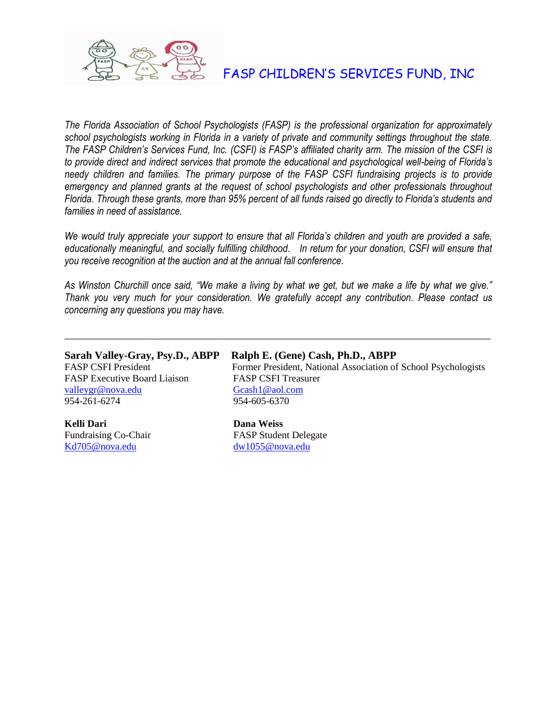

## FASP CHILDREN'S SERVICES FUND, INC

*The Florida Association of School Psychologists (FASP) is the professional organization for approximately school psychologists working in Florida in a variety of private and community settings throughout the state. The FASP Children's Services Fund, Inc. (CSFI) is FASP's affiliated charity arm. The mission of the CSFI is to provide direct and indirect services that promote the educational and psychological well-being of Florida's needy children and families. The primary purpose of the FASP CSFI fundraising projects is to provide emergency and planned grants at the request of school psychologists and other professionals throughout Florida. Through these grants, more than 95% percent of all funds raised go directly to Florida's students and families in need of assistance.*

*We would truly appreciate your support to ensure that all Florida's children and youth are provided a safe, educationally meaningful, and socially fulfilling childhood. In return for your donation, CSFI will ensure that you receive recognition at the auction and at the annual fall conference.*

*As Winston Churchill once said, "We make a living by what we get, but we make a life by what we give." Thank you very much for your consideration. We gratefully accept any contribution. Please contact us concerning any questions you may have.*

 $\_$  , and the set of the set of the set of the set of the set of the set of the set of the set of the set of the set of the set of the set of the set of the set of the set of the set of the set of the set of the set of th

FASP Executive Board Liaison FASP CSFI Treasurer [valleygr@nova.edu](mailto:valleygr@nova.edu) [Gcash1@aol.com](mailto:Gcash1@aol.com) 954-261-6274 954-605-6370

**Kelli Dari Dana Weiss** [Kd705@nova.edu](mailto:Kd705@nova.edu) [dw1055@nova.edu](mailto:dw1055@nova.edu)

### **Sarah Valley-Gray, Psy.D., ABPP Ralph E. (Gene) Cash, Ph.D., ABPP**

FASP CSFI President Former President, National Association of School Psychologists

Fundraising Co-Chair FASP Student Delegate